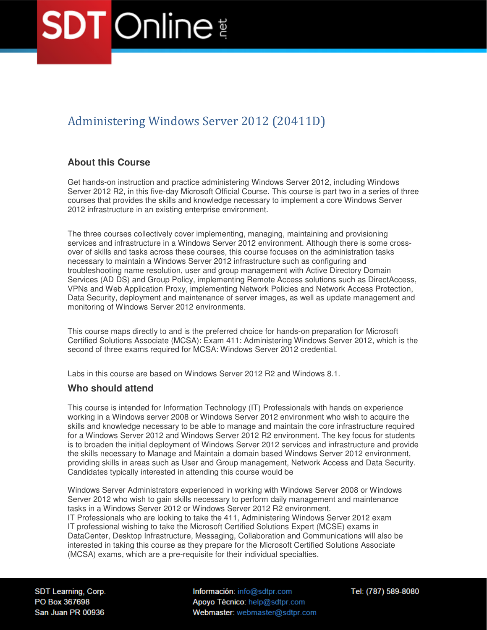# Administering Windows Server 2012 (20411D)

# **About this Course**

Get hands-on instruction and practice administering Windows Server 2012, including Windows Server 2012 R2, in this five-day Microsoft Official Course. This course is part two in a series of three courses that provides the skills and knowledge necessary to implement a core Windows Server 2012 infrastructure in an existing enterprise environment.

The three courses collectively cover implementing, managing, maintaining and provisioning services and infrastructure in a Windows Server 2012 environment. Although there is some crossover of skills and tasks across these courses, this course focuses on the administration tasks necessary to maintain a Windows Server 2012 infrastructure such as configuring and troubleshooting name resolution, user and group management with Active Directory Domain Services (AD DS) and Group Policy, implementing Remote Access solutions such as DirectAccess, VPNs and Web Application Proxy, implementing Network Policies and Network Access Protection, Data Security, deployment and maintenance of server images, as well as update management and monitoring of Windows Server 2012 environments.

This course maps directly to and is the preferred choice for hands-on preparation for Microsoft Certified Solutions Associate (MCSA): Exam 411: Administering Windows Server 2012, which is the second of three exams required for MCSA: Windows Server 2012 credential.

Labs in this course are based on Windows Server 2012 R2 and Windows 8.1.

# **Who should attend**

This course is intended for Information Technology (IT) Professionals with hands on experience working in a Windows server 2008 or Windows Server 2012 environment who wish to acquire the skills and knowledge necessary to be able to manage and maintain the core infrastructure required for a Windows Server 2012 and Windows Server 2012 R2 environment. The key focus for students is to broaden the initial deployment of Windows Server 2012 services and infrastructure and provide the skills necessary to Manage and Maintain a domain based Windows Server 2012 environment, providing skills in areas such as User and Group management, Network Access and Data Security. Candidates typically interested in attending this course would be

Windows Server Administrators experienced in working with Windows Server 2008 or Windows Server 2012 who wish to gain skills necessary to perform daily management and maintenance tasks in a Windows Server 2012 or Windows Server 2012 R2 environment. IT Professionals who are looking to take the 411, Administering Windows Server 2012 exam IT professional wishing to take the Microsoft Certified Solutions Expert (MCSE) exams in DataCenter, Desktop Infrastructure, Messaging, Collaboration and Communications will also be interested in taking this course as they prepare for the Microsoft Certified Solutions Associate (MCSA) exams, which are a pre-requisite for their individual specialties.

SDT Learning, Corp. PO Box 367698 San Juan PR 00936

Información: info@sdtpr.com Apoyo Técnico: help@sdtpr.com Webmaster: webmaster@sdtpr.com Tel: (787) 589-8080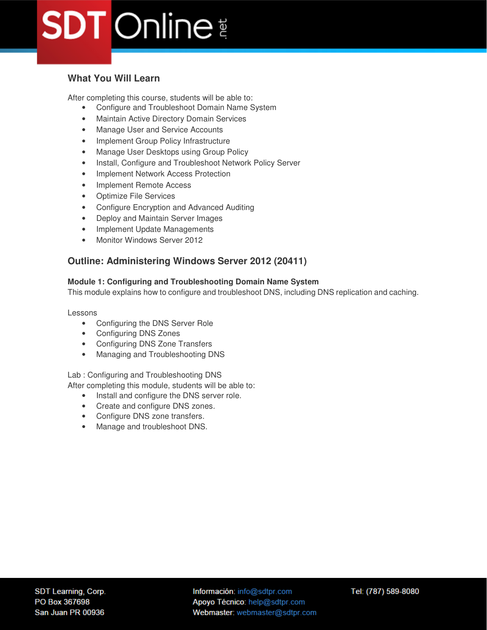# **What You Will Learn**

After completing this course, students will be able to:

- Configure and Troubleshoot Domain Name System
- Maintain Active Directory Domain Services
- Manage User and Service Accounts
- Implement Group Policy Infrastructure
- Manage User Desktops using Group Policy
- Install, Configure and Troubleshoot Network Policy Server
- Implement Network Access Protection
- Implement Remote Access
- Optimize File Services
- Configure Encryption and Advanced Auditing
- Deploy and Maintain Server Images
- Implement Update Managements
- Monitor Windows Server 2012

# **Outline: Administering Windows Server 2012 (20411)**

## **Module 1: Configuring and Troubleshooting Domain Name System**

This module explains how to configure and troubleshoot DNS, including DNS replication and caching.

Lessons

- Configuring the DNS Server Role
- Configuring DNS Zones
- Configuring DNS Zone Transfers
- Managing and Troubleshooting DNS

Lab : Configuring and Troubleshooting DNS

After completing this module, students will be able to:

- Install and configure the DNS server role.
- Create and configure DNS zones.
- Configure DNS zone transfers.
- Manage and troubleshoot DNS.

Información: info@sdtpr.com Apoyo Técnico: help@sdtpr.com Webmaster: webmaster@sdtpr.com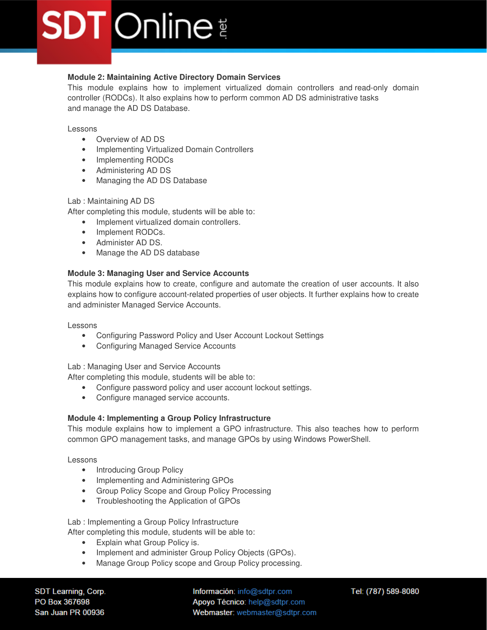# **Module 2: Maintaining Active Directory Domain Services**

This module explains how to implement virtualized domain controllers and read-only domain controller (RODCs). It also explains how to perform common AD DS administrative tasks and manage the AD DS Database.

#### Lessons

- Overview of AD DS
- Implementing Virtualized Domain Controllers
- Implementing RODCs
- Administering AD DS
- Managing the AD DS Database

### Lab : Maintaining AD DS

After completing this module, students will be able to:

- Implement virtualized domain controllers.
- Implement RODCs.
- Administer AD DS.
- Manage the AD DS database

## **Module 3: Managing User and Service Accounts**

This module explains how to create, configure and automate the creation of user accounts. It also explains how to configure account-related properties of user objects. It further explains how to create and administer Managed Service Accounts.

### Lessons

- Configuring Password Policy and User Account Lockout Settings
- Configuring Managed Service Accounts

### Lab : Managing User and Service Accounts

After completing this module, students will be able to:

- Configure password policy and user account lockout settings.
- Configure managed service accounts.

### **Module 4: Implementing a Group Policy Infrastructure**

This module explains how to implement a GPO infrastructure. This also teaches how to perform common GPO management tasks, and manage GPOs by using Windows PowerShell.

### Lessons

- Introducing Group Policy
- Implementing and Administering GPOs
- Group Policy Scope and Group Policy Processing
- Troubleshooting the Application of GPOs

Lab : Implementing a Group Policy Infrastructure After completing this module, students will be able to:

- Explain what Group Policy is.
- Implement and administer Group Policy Objects (GPOs).
- Manage Group Policy scope and Group Policy processing.

SDT Learning, Corp. PO Box 367698 San Juan PR 00936

Información: info@sdtpr.com Apoyo Técnico: help@sdtpr.com Webmaster: webmaster@sdtpr.com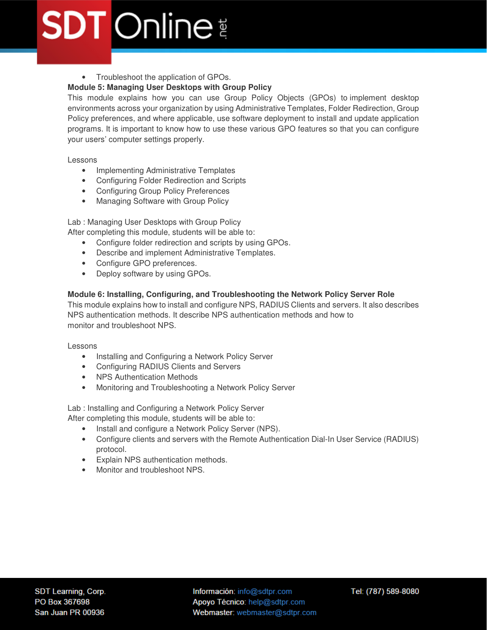# • Troubleshoot the application of GPOs.

# **Module 5: Managing User Desktops with Group Policy**

This module explains how you can use Group Policy Objects (GPOs) to implement desktop environments across your organization by using Administrative Templates, Folder Redirection, Group Policy preferences, and where applicable, use software deployment to install and update application programs. It is important to know how to use these various GPO features so that you can configure your users' computer settings properly.

Lessons

- Implementing Administrative Templates
- Configuring Folder Redirection and Scripts
- Configuring Group Policy Preferences
- Managing Software with Group Policy

Lab : Managing User Desktops with Group Policy

After completing this module, students will be able to:

- Configure folder redirection and scripts by using GPOs.
- Describe and implement Administrative Templates.
- Configure GPO preferences.
- Deploy software by using GPOs.

## **Module 6: Installing, Configuring, and Troubleshooting the Network Policy Server Role**

This module explains how to install and configure NPS, RADIUS Clients and servers. It also describes NPS authentication methods. It describe NPS authentication methods and how to monitor and troubleshoot NPS.

Lessons

- Installing and Configuring a Network Policy Server
- Configuring RADIUS Clients and Servers
- NPS Authentication Methods
- Monitoring and Troubleshooting a Network Policy Server

Lab : Installing and Configuring a Network Policy Server After completing this module, students will be able to:

- Install and configure a Network Policy Server (NPS).
- Configure clients and servers with the Remote Authentication Dial-In User Service (RADIUS) protocol.
- Explain NPS authentication methods.
- Monitor and troubleshoot NPS.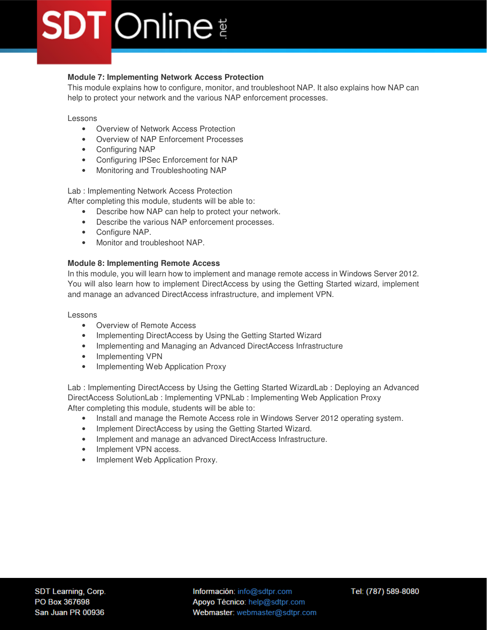# **Module 7: Implementing Network Access Protection**

This module explains how to configure, monitor, and troubleshoot NAP. It also explains how NAP can help to protect your network and the various NAP enforcement processes.

Lessons

- Overview of Network Access Protection
- Overview of NAP Enforcement Processes
- Configuring NAP
- Configuring IPSec Enforcement for NAP
- Monitoring and Troubleshooting NAP

Lab : Implementing Network Access Protection

After completing this module, students will be able to:

- Describe how NAP can help to protect your network.
- Describe the various NAP enforcement processes.
- Configure NAP.
- Monitor and troubleshoot NAP.

### **Module 8: Implementing Remote Access**

In this module, you will learn how to implement and manage remote access in Windows Server 2012. You will also learn how to implement DirectAccess by using the Getting Started wizard, implement and manage an advanced DirectAccess infrastructure, and implement VPN.

Lessons

- Overview of Remote Access
- Implementing DirectAccess by Using the Getting Started Wizard
- Implementing and Managing an Advanced DirectAccess Infrastructure
- Implementing VPN
- Implementing Web Application Proxy

Lab : Implementing DirectAccess by Using the Getting Started WizardLab : Deploying an Advanced DirectAccess SolutionLab : Implementing VPNLab : Implementing Web Application Proxy After completing this module, students will be able to:

- Install and manage the Remote Access role in Windows Server 2012 operating system.
- Implement DirectAccess by using the Getting Started Wizard.
- Implement and manage an advanced DirectAccess Infrastructure.
- Implement VPN access.
- Implement Web Application Proxy.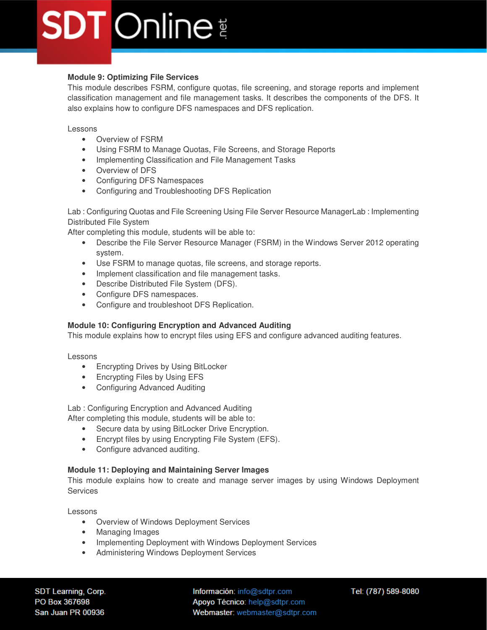# **Module 9: Optimizing File Services**

This module describes FSRM, configure quotas, file screening, and storage reports and implement classification management and file management tasks. It describes the components of the DFS. It also explains how to configure DFS namespaces and DFS replication.

Lessons

- Overview of FSRM
- Using FSRM to Manage Quotas, File Screens, and Storage Reports
- Implementing Classification and File Management Tasks
- Overview of DFS
- Configuring DFS Namespaces
- Configuring and Troubleshooting DFS Replication

Lab : Configuring Quotas and File Screening Using File Server Resource ManagerLab : Implementing Distributed File System

After completing this module, students will be able to:

- Describe the File Server Resource Manager (FSRM) in the Windows Server 2012 operating system.
- Use FSRM to manage quotas, file screens, and storage reports.
- Implement classification and file management tasks.
- Describe Distributed File System (DFS).
- Configure DFS namespaces.
- Configure and troubleshoot DFS Replication.

### **Module 10: Configuring Encryption and Advanced Auditing**

This module explains how to encrypt files using EFS and configure advanced auditing features.

#### Lessons

- Encrypting Drives by Using BitLocker
- Encrypting Files by Using EFS
- Configuring Advanced Auditing

Lab : Configuring Encryption and Advanced Auditing After completing this module, students will be able to:

- Secure data by using BitLocker Drive Encryption.
- Encrypt files by using Encrypting File System (EFS).
- Configure advanced auditing.

### **Module 11: Deploying and Maintaining Server Images**

This module explains how to create and manage server images by using Windows Deployment Services

Lessons

- Overview of Windows Deployment Services
- Managing Images
- Implementing Deployment with Windows Deployment Services
- Administering Windows Deployment Services

SDT Learning, Corp. PO Box 367698 San Juan PR 00936

Información: info@sdtpr.com Apoyo Técnico: help@sdtpr.com Webmaster: webmaster@sdtpr.com Tel: (787) 589-8080